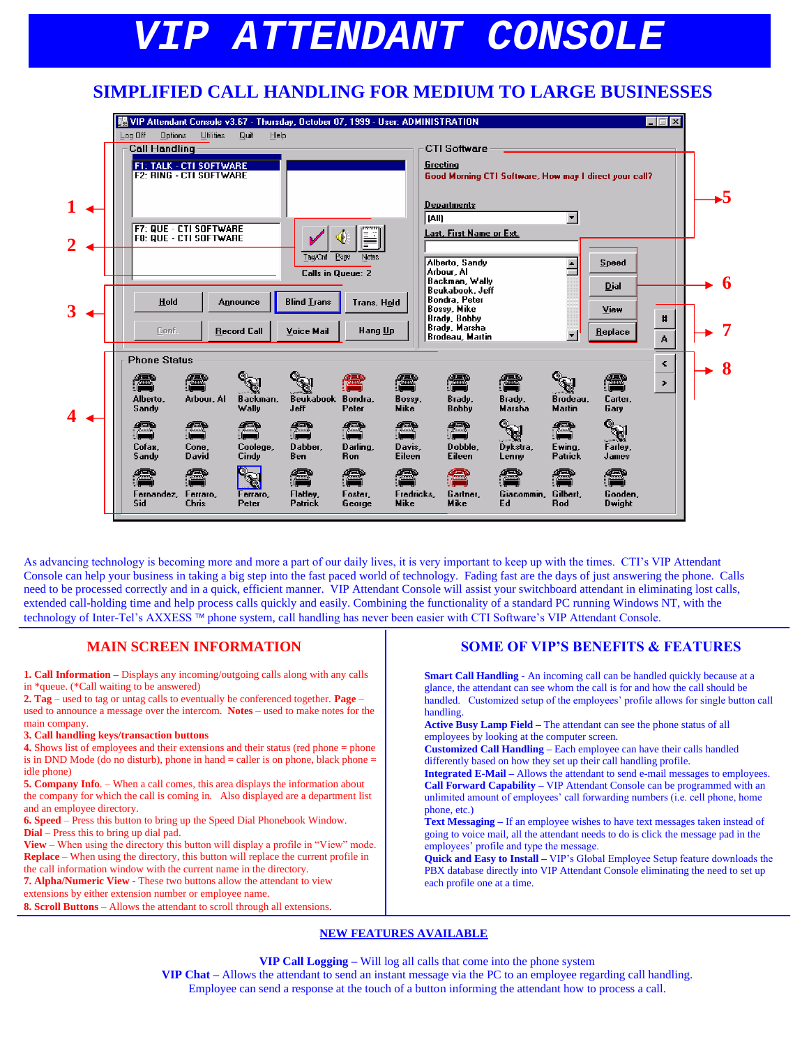# *VIP ATTENDANT CONSOLE*

## **SIMPLIFIED CALL HANDLING FOR MEDIUM TO LARGE BUSINESSES**

|  | 曬 VIP Attendant Console v3.67 - Thursday, October 07, 1999 - User: ADMINISTRATION |                                                                  |                         |                                      |                       |                            |                                                                |                                                        |                           |                          | - 回<br>$\mathbf x$ |   |
|--|-----------------------------------------------------------------------------------|------------------------------------------------------------------|-------------------------|--------------------------------------|-----------------------|----------------------------|----------------------------------------------------------------|--------------------------------------------------------|---------------------------|--------------------------|--------------------|---|
|  | Log Off<br><b>Options</b><br><b>Call Handling</b>                                 | <b>Utilities</b>                                                 | Quit<br>Help            |                                      |                       |                            | <b>CTI Software</b>                                            |                                                        |                           |                          |                    |   |
|  |                                                                                   | <b>F1: TALK - CTI SOFTWARE</b><br><b>F2: RING - CTI SOFTWARE</b> |                         |                                      |                       | Greeting                   | <b>Departments</b>                                             | Good Morning CTI Software, How may I direct your call? |                           |                          |                    |   |
|  |                                                                                   | <b>F7: QUE - CTI SOFTWARE</b>                                    |                         |                                      |                       | [All]                      | Last, First Name or Ext.                                       |                                                        |                           |                          |                    |   |
|  |                                                                                   | F8: QUE - CTI SOFTWARE                                           |                         | مممه<br>Tag/Cnf<br>Calls in Queue: 2 | F<br>Page<br>Notes    |                            | Alberto, Sandy<br>Arbour. Al<br>Backman, Wally                 |                                                        | $\overline{\phantom{0}}$  | <b>Speed</b>             |                    | 6 |
|  | Hold                                                                              |                                                                  | Announce                | <b>Blind Lrans</b>                   | Trans. Hold           |                            | Beukabook, Jeff<br>Bondra, Peter<br><b>Bossy</b> , Mike        |                                                        |                           | Dial<br>View             |                    |   |
|  | Conf.                                                                             |                                                                  | <b>Record Call</b>      | Voice Mail                           | Hang Up               |                            | <b>Brady, Bobby</b><br>Brady, Marsha<br><b>Brodeau, Martin</b> |                                                        |                           | Replace                  | #<br>A             |   |
|  | <b>Phone Status</b><br>僵<br>Alberto.<br><b>Sandy</b>                              | Arbour, Al                                                       | Backman.<br>Wally       | Beukabook Bondra.<br>Jeff            | Peter                 | Æ<br>Bossy,<br><b>Mike</b> | æ<br>Brady,<br><b>Bobby</b>                                    | 僵<br>Brady,<br>Marsha                                  | Brodeau.<br><b>Martin</b> | æ<br>Carter.<br>Garv     | K<br>$\rightarrow$ | 8 |
|  | Æ<br>Cofax,<br>S andy                                                             | $\sim$<br>Cone,<br>David                                         | Coolege,<br>Cindy       | T<br>Dabber<br>Ben                   | Darling<br><b>Ron</b> | Davis,<br><b>Eileen</b>    | Æ<br>Dobble.<br>Eileen                                         | Dykstra,<br>Lenny                                      | Ewing,<br>Patrick         | Farley,<br>James         |                    |   |
|  | 75556<br>Fernandez,<br>Sid.                                                       | Ferraro,<br>Chris                                                | q.<br>Ferraro,<br>Peter | 72226<br>Flatley.<br>Patrick         | Foster.<br>George     | Fredricks,<br><b>Mike</b>  | Gartner,<br><b>Mike</b>                                        | Giacommin.<br>Ed                                       | Gilbert.<br>Rod           | Gooden,<br><b>Dwight</b> |                    |   |

As advancing technology is becoming more and more a part of our daily lives, it is very important to keep up with the times. CTI's VIP Attendant Console can help your business in taking a big step into the fast paced world of technology. Fading fast are the days of just answering the phone. Calls need to be processed correctly and in a quick, efficient manner. VIP Attendant Console will assist your switchboard attendant in eliminating lost calls, extended call-holding time and help process calls quickly and easily. Combining the functionality of a standard PC running Windows NT, with the technology of Inter-Tel's AXXESS ™ phone system, call handling has never been easier with CTI Software's VIP Attendant Console.

## **MAIN SCREEN INFORMATION**

**1. Call Information –** Displays any incoming/outgoing calls along with any calls in \*queue. (\*Call waiting to be answered)

**2. Tag** – used to tag or untag calls to eventually be conferenced together. **Page** – used to announce a message over the intercom. **Notes** – used to make notes for the main company.

#### **3. Call handling keys/transaction buttons**

**4.** Shows list of employees and their extensions and their status (red phone = phone is in DND Mode (do no disturb), phone in hand  $=$  caller is on phone, black phone  $=$ idle phone)

**5. Company Info**. – When a call comes, this area displays the information about the company for which the call is coming in. Also displayed are a department list and an employee directory.

**6. Speed** – Press this button to bring up the Speed Dial Phonebook Window. **Dial** – Press this to bring up dial pad.

**View** – When using the directory this button will display a profile in "View" mode. **Replace** – When using the directory, this button will replace the current profile in the call information window with the current name in the directory. **7. Alpha/Numeric View -** These two buttons allow the attendant to view

extensions by either extension number or employee name.

**8. Scroll Buttons** – Allows the attendant to scroll through all extensions.

## **SOME OF VIP'S BENEFITS & FEATURES**

**Smart Call Handling -** An incoming call can be handled quickly because at a glance, the attendant can see whom the call is for and how the call should be handled. Customized setup of the employees' profile allows for single button call handling.

**Active Busy Lamp Field –** The attendant can see the phone status of all employees by looking at the computer screen.

**Customized Call Handling –** Each employee can have their calls handled differently based on how they set up their call handling profile.

**Integrated E-Mail –** Allows the attendant to send e-mail messages to employees. **Call Forward Capability –** VIP Attendant Console can be programmed with an unlimited amount of employees' call forwarding numbers (i.e. cell phone, home phone, etc.)

**Text Messaging –** If an employee wishes to have text messages taken instead of going to voice mail, all the attendant needs to do is click the message pad in the employees' profile and type the message.

**Quick and Easy to Install –** VIP's Global Employee Setup feature downloads the PBX database directly into VIP Attendant Console eliminating the need to set up each profile one at a time.

### **NEW FEATURES AVAILABLE**

**VIP Call Logging –** Will log all calls that come into the phone system **VIP Chat –** Allows the attendant to send an instant message via the PC to an employee regarding call handling. Employee can send a response at the touch of a button informing the attendant how to process a call.